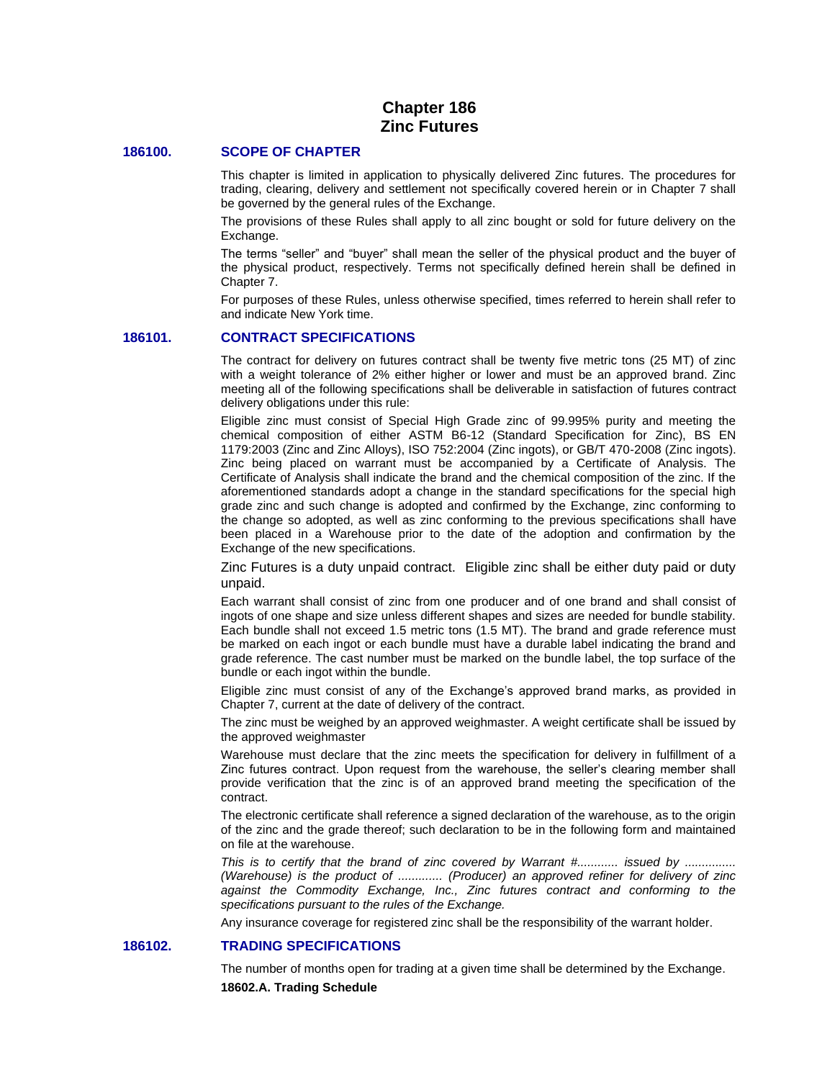# **Chapter 186 Zinc Futures**

## **186100. SCOPE OF CHAPTER**

This chapter is limited in application to physically delivered Zinc futures. The procedures for trading, clearing, delivery and settlement not specifically covered herein or in Chapter 7 shall be governed by the general rules of the Exchange.

The provisions of these Rules shall apply to all zinc bought or sold for future delivery on the Exchange.

The terms "seller" and "buyer" shall mean the seller of the physical product and the buyer of the physical product, respectively. Terms not specifically defined herein shall be defined in Chapter 7.

For purposes of these Rules, unless otherwise specified, times referred to herein shall refer to and indicate New York time.

## **186101. CONTRACT SPECIFICATIONS**

The contract for delivery on futures contract shall be twenty five metric tons (25 MT) of zinc with a weight tolerance of 2% either higher or lower and must be an approved brand. Zinc meeting all of the following specifications shall be deliverable in satisfaction of futures contract delivery obligations under this rule:

Eligible zinc must consist of Special High Grade zinc of 99.995% purity and meeting the chemical composition of either ASTM B6-12 (Standard Specification for Zinc), BS EN 1179:2003 (Zinc and Zinc Alloys), ISO 752:2004 (Zinc ingots), or GB/T 470-2008 (Zinc ingots). Zinc being placed on warrant must be accompanied by a Certificate of Analysis. The Certificate of Analysis shall indicate the brand and the chemical composition of the zinc. If the aforementioned standards adopt a change in the standard specifications for the special high grade zinc and such change is adopted and confirmed by the Exchange, zinc conforming to the change so adopted, as well as zinc conforming to the previous specifications shall have been placed in a Warehouse prior to the date of the adoption and confirmation by the Exchange of the new specifications.

Zinc Futures is a duty unpaid contract. Eligible zinc shall be either duty paid or duty unpaid.

Each warrant shall consist of zinc from one producer and of one brand and shall consist of ingots of one shape and size unless different shapes and sizes are needed for bundle stability. Each bundle shall not exceed 1.5 metric tons (1.5 MT). The brand and grade reference must be marked on each ingot or each bundle must have a durable label indicating the brand and grade reference. The cast number must be marked on the bundle label, the top surface of the bundle or each ingot within the bundle.

Eligible zinc must consist of any of the Exchange's approved brand marks, as provided in Chapter 7, current at the date of delivery of the contract.

The zinc must be weighed by an approved weighmaster. A weight certificate shall be issued by the approved weighmaster

Warehouse must declare that the zinc meets the specification for delivery in fulfillment of a Zinc futures contract. Upon request from the warehouse, the seller's clearing member shall provide verification that the zinc is of an approved brand meeting the specification of the contract.

The electronic certificate shall reference a signed declaration of the warehouse, as to the origin of the zinc and the grade thereof; such declaration to be in the following form and maintained on file at the warehouse.

*This is to certify that the brand of zinc covered by Warrant #............ issued by ............... (Warehouse) is the product of ............. (Producer) an approved refiner for delivery of zinc against the Commodity Exchange, Inc., Zinc futures contract and conforming to the specifications pursuant to the rules of the Exchange.*

Any insurance coverage for registered zinc shall be the responsibility of the warrant holder.

## **186102. TRADING SPECIFICATIONS**

The number of months open for trading at a given time shall be determined by the Exchange. **18602.A. Trading Schedule**